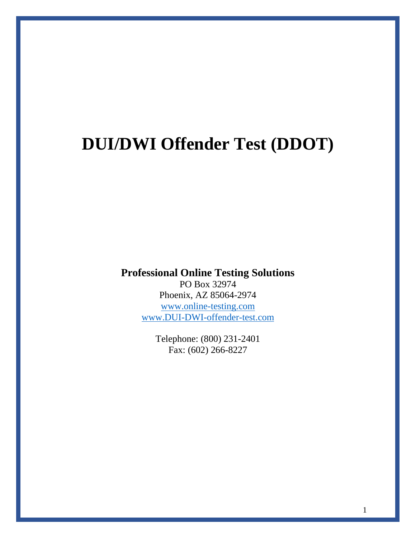# **DUI/DWI Offender Test (DDOT)**

**Professional Online Testing Solutions**

PO Box 32974 Phoenix, AZ 85064-2974 [www.online-testing.com](http://www.online-testing.com/) [www.DUI-DWI-offender-test.com](http://www.dui-dwi-offender-test.com/)

> Telephone: (800) 231-2401 Fax: (602) 266-8227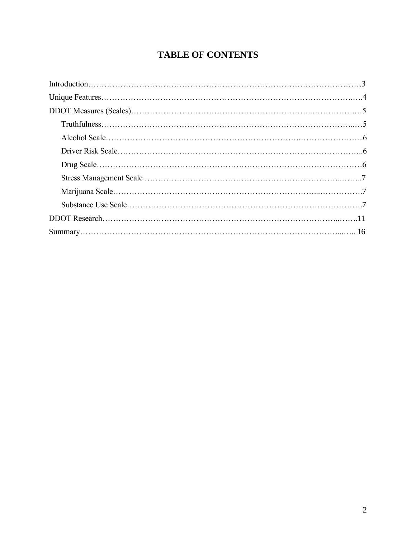# **TABLE OF CONTENTS**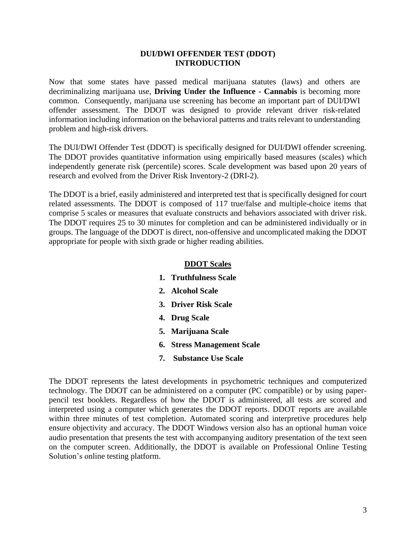### **DUI/DWI OFFENDER TEST (DDOT) INTRODUCTION**

Now that some states have passed medical marijuana statutes (laws) and others are decriminalizing marijuana use, **Driving Under the Influence - Cannabis** is becoming more common. Consequently, marijuana use screening has become an important part of DUI/DWI offender assessment. The DDOT was designed to provide relevant driver risk-related information including information on the behavioral patterns and traits relevant to understanding problem and high-risk drivers.

The DUI/DWI Offender Test (DDOT) is specifically designed for DUI/DWI offender screening. The DDOT provides quantitative information using empirically based measures (scales) which independently generate risk (percentile) scores. Scale development was based upon 20 years of research and evolved from the Driver Risk Inventory-2 (DRI-2).

The DDOT is a brief, easily administered and interpreted test that is specifically designed for court related assessments. The DDOT is composed of 117 true/false and multiple-choice items that comprise 5 scales or measures that evaluate constructs and behaviors associated with driver risk. The DDOT requires 25 to 30 minutes for completion and can be administered individually or in groups. The language of the DDOT is direct, non-offensive and uncomplicated making the DDOT appropriate for people with sixth grade or higher reading abilities.

# **DDOT Scales**

- **1. Truthfulness Scale**
- **2. Alcohol Scale**
- **3. Driver Risk Scale**
- **4. Drug Scale**
- **5. Marijuana Scale**
- **6. Stress Management Scale**
- **7. Substance Use Scale**

The DDOT represents the latest developments in psychometric techniques and computerized technology. The DDOT can be administered on a computer (PC compatible) or by using paperpencil test booklets. Regardless of how the DDOT is administered, all tests are scored and interpreted using a computer which generates the DDOT reports. DDOT reports are available within three minutes of test completion. Automated scoring and interpretive procedures help ensure objectivity and accuracy. The DDOT Windows version also has an optional human voice audio presentation that presents the test with accompanying auditory presentation of the text seen on the computer screen. Additionally, the DDOT is available on Professional Online Testing Solution's online testing platform.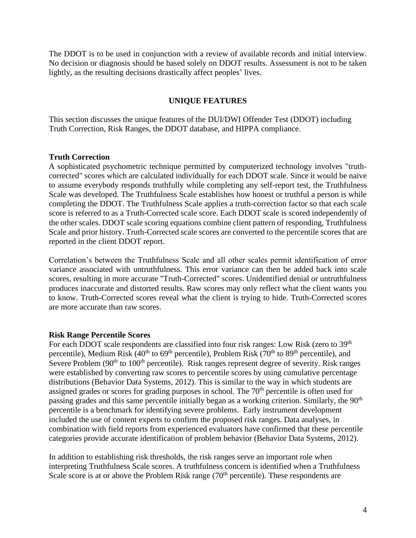The DDOT is to be used in conjunction with a review of available records and initial interview. No decision or diagnosis should be based solely on DDOT results. Assessment is not to be taken lightly, as the resulting decisions drastically affect peoples' lives.

# **UNIQUE FEATURES**

This section discusses the unique features of the DUI/DWI Offender Test (DDOT) including Truth Correction, Risk Ranges, the DDOT database, and HIPPA compliance.

#### **Truth Correction**

A sophisticated psychometric technique permitted by computerized technology involves "truthcorrected" scores which are calculated individually for each DDOT scale. Since it would be naive to assume everybody responds truthfully while completing any self-report test, the Truthfulness Scale was developed. The Truthfulness Scale establishes how honest or truthful a person is while completing the DDOT. The Truthfulness Scale applies a truth-correction factor so that each scale score is referred to as a Truth-Corrected scale score. Each DDOT scale is scored independently of the other scales. DDOT scale scoring equations combine client pattern of responding, Truthfulness Scale and prior history. Truth-Corrected scale scores are converted to the percentile scores that are reported in the client DDOT report.

Correlation's between the Truthfulness Scale and all other scales permit identification of error variance associated with untruthfulness. This error variance can then be added back into scale scores, resulting in more accurate "Truth-Corrected" scores. Unidentified denial or untruthfulness produces inaccurate and distorted results. Raw scores may only reflect what the client wants you to know. Truth-Corrected scores reveal what the client is trying to hide. Truth-Corrected scores are more accurate than raw scores.

#### **Risk Range Percentile Scores**

For each DDOT scale respondents are classified into four risk ranges: Low Risk (zero to 39<sup>th</sup>) percentile), Medium Risk  $(40^{th}$  to  $69^{th}$  percentile), Problem Risk  $(70^{th}$  to  $89^{th}$  percentile), and Severe Problem (90<sup>th</sup> to 100<sup>th</sup> percentile). Risk ranges represent degree of severity. Risk ranges were established by converting raw scores to percentile scores by using cumulative percentage distributions (Behavior Data Systems, 2012). This is similar to the way in which students are assigned grades or scores for grading purposes in school. The 70<sup>th</sup> percentile is often used for passing grades and this same percentile initially began as a working criterion. Similarly, the 90<sup>th</sup> percentile is a benchmark for identifying severe problems. Early instrument development included the use of content experts to confirm the proposed risk ranges. Data analyses, in combination with field reports from experienced evaluators have confirmed that these percentile categories provide accurate identification of problem behavior (Behavior Data Systems, 2012).

In addition to establishing risk thresholds, the risk ranges serve an important role when interpreting Truthfulness Scale scores. A truthfulness concern is identified when a Truthfulness Scale score is at or above the Problem Risk range  $(70<sup>th</sup>$  percentile). These respondents are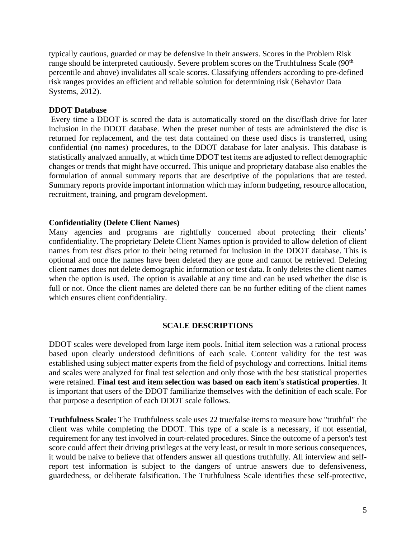typically cautious, guarded or may be defensive in their answers. Scores in the Problem Risk range should be interpreted cautiously. Severe problem scores on the Truthfulness Scale (90<sup>th</sup>) percentile and above) invalidates all scale scores. Classifying offenders according to pre-defined risk ranges provides an efficient and reliable solution for determining risk (Behavior Data Systems, 2012).

# **DDOT Database**

Every time a DDOT is scored the data is automatically stored on the disc/flash drive for later inclusion in the DDOT database. When the preset number of tests are administered the disc is returned for replacement, and the test data contained on these used discs is transferred, using confidential (no names) procedures, to the DDOT database for later analysis. This database is statistically analyzed annually, at which time DDOT test items are adjusted to reflect demographic changes or trends that might have occurred. This unique and proprietary database also enables the formulation of annual summary reports that are descriptive of the populations that are tested. Summary reports provide important information which may inform budgeting, resource allocation, recruitment, training, and program development.

# **Confidentiality (Delete Client Names)**

Many agencies and programs are rightfully concerned about protecting their clients' confidentiality. The proprietary Delete Client Names option is provided to allow deletion of client names from test discs prior to their being returned for inclusion in the DDOT database. This is optional and once the names have been deleted they are gone and cannot be retrieved. Deleting client names does not delete demographic information or test data. It only deletes the client names when the option is used. The option is available at any time and can be used whether the disc is full or not. Once the client names are deleted there can be no further editing of the client names which ensures client confidentiality.

# **SCALE DESCRIPTIONS**

DDOT scales were developed from large item pools. Initial item selection was a rational process based upon clearly understood definitions of each scale. Content validity for the test was established using subject matter experts from the field of psychology and corrections. Initial items and scales were analyzed for final test selection and only those with the best statistical properties were retained. **Final test and item selection was based on each item's statistical properties**. It is important that users of the DDOT familiarize themselves with the definition of each scale. For that purpose a description of each DDOT scale follows.

**Truthfulness Scale:** The Truthfulness scale uses 22 true/false items to measure how "truthful" the client was while completing the DDOT. This type of a scale is a necessary, if not essential, requirement for any test involved in court-related procedures. Since the outcome of a person's test score could affect their driving privileges at the very least, or result in more serious consequences, it would be naive to believe that offenders answer all questions truthfully. All interview and selfreport test information is subject to the dangers of untrue answers due to defensiveness, guardedness, or deliberate falsification. The Truthfulness Scale identifies these self-protective,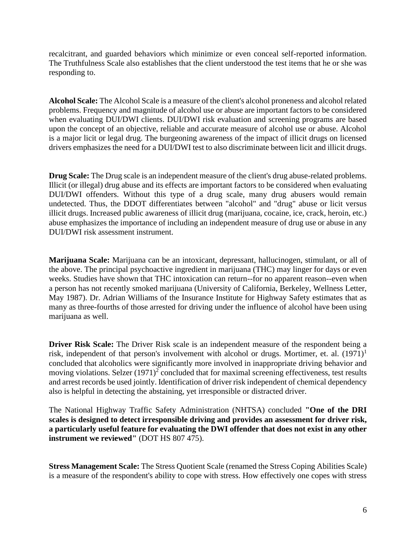recalcitrant, and guarded behaviors which minimize or even conceal self-reported information. The Truthfulness Scale also establishes that the client understood the test items that he or she was responding to.

**Alcohol Scale:** The Alcohol Scale is a measure of the client's alcohol proneness and alcohol related problems. Frequency and magnitude of alcohol use or abuse are important factors to be considered when evaluating DUI/DWI clients. DUI/DWI risk evaluation and screening programs are based upon the concept of an objective, reliable and accurate measure of alcohol use or abuse. Alcohol is a major licit or legal drug. The burgeoning awareness of the impact of illicit drugs on licensed drivers emphasizes the need for a DUI/DWI test to also discriminate between licit and illicit drugs.

**Drug Scale:** The Drug scale is an independent measure of the client's drug abuse-related problems. Illicit (or illegal) drug abuse and its effects are important factors to be considered when evaluating DUI/DWI offenders. Without this type of a drug scale, many drug abusers would remain undetected. Thus, the DDOT differentiates between "alcohol" and "drug" abuse or licit versus illicit drugs. Increased public awareness of illicit drug (marijuana, cocaine, ice, crack, heroin, etc.) abuse emphasizes the importance of including an independent measure of drug use or abuse in any DUI/DWI risk assessment instrument.

**Marijuana Scale:** Marijuana can be an intoxicant, depressant, hallucinogen, stimulant, or all of the above. The principal psychoactive ingredient in marijuana (THC) may linger for days or even weeks. Studies have shown that THC intoxication can return--for no apparent reason--even when a person has not recently smoked marijuana (University of California, Berkeley, Wellness Letter, May 1987). Dr. Adrian Williams of the Insurance Institute for Highway Safety estimates that as many as three-fourths of those arrested for driving under the influence of alcohol have been using marijuana as well.

**Driver Risk Scale:** The Driver Risk scale is an independent measure of the respondent being a risk, independent of that person's involvement with alcohol or drugs. Mortimer, et. al.  $(1971)^1$ concluded that alcoholics were significantly more involved in inappropriate driving behavior and moving violations. Selzer  $(1971)^2$  concluded that for maximal screening effectiveness, test results and arrest records be used jointly. Identification of driver risk independent of chemical dependency also is helpful in detecting the abstaining, yet irresponsible or distracted driver.

The National Highway Traffic Safety Administration (NHTSA) concluded **"One of the DRI scales is designed to detect irresponsible driving and provides an assessment for driver risk, a particularly useful feature for evaluating the DWI offender that does not exist in any other instrument we reviewed"** (DOT HS 807 475).

**Stress Management Scale:** The Stress Quotient Scale (renamed the Stress Coping Abilities Scale) is a measure of the respondent's ability to cope with stress. How effectively one copes with stress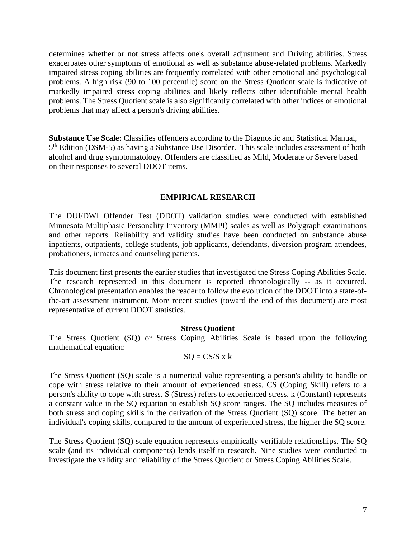determines whether or not stress affects one's overall adjustment and Driving abilities. Stress exacerbates other symptoms of emotional as well as substance abuse-related problems. Markedly impaired stress coping abilities are frequently correlated with other emotional and psychological problems. A high risk (90 to 100 percentile) score on the Stress Quotient scale is indicative of markedly impaired stress coping abilities and likely reflects other identifiable mental health problems. The Stress Quotient scale is also significantly correlated with other indices of emotional problems that may affect a person's driving abilities.

**Substance Use Scale:** Classifies offenders according to the Diagnostic and Statistical Manual, 5<sup>th</sup> Edition (DSM-5) as having a Substance Use Disorder. This scale includes assessment of both alcohol and drug symptomatology. Offenders are classified as Mild, Moderate or Severe based on their responses to several DDOT items.

#### **EMPIRICAL RESEARCH**

The DUI/DWI Offender Test (DDOT) validation studies were conducted with established Minnesota Multiphasic Personality Inventory (MMPI) scales as well as Polygraph examinations and other reports. Reliability and validity studies have been conducted on substance abuse inpatients, outpatients, college students, job applicants, defendants, diversion program attendees, probationers, inmates and counseling patients.

This document first presents the earlier studies that investigated the Stress Coping Abilities Scale. The research represented in this document is reported chronologically -- as it occurred. Chronological presentation enables the reader to follow the evolution of the DDOT into a state-ofthe-art assessment instrument. More recent studies (toward the end of this document) are most representative of current DDOT statistics.

#### **Stress Quotient**

The Stress Quotient (SQ) or Stress Coping Abilities Scale is based upon the following mathematical equation:

$$
SQ = CS/S \times k
$$

The Stress Quotient (SQ) scale is a numerical value representing a person's ability to handle or cope with stress relative to their amount of experienced stress. CS (Coping Skill) refers to a person's ability to cope with stress. S (Stress) refers to experienced stress. k (Constant) represents a constant value in the SQ equation to establish SQ score ranges. The SQ includes measures of both stress and coping skills in the derivation of the Stress Quotient (SQ) score. The better an individual's coping skills, compared to the amount of experienced stress, the higher the SQ score.

The Stress Quotient (SQ) scale equation represents empirically verifiable relationships. The SQ scale (and its individual components) lends itself to research. Nine studies were conducted to investigate the validity and reliability of the Stress Quotient or Stress Coping Abilities Scale.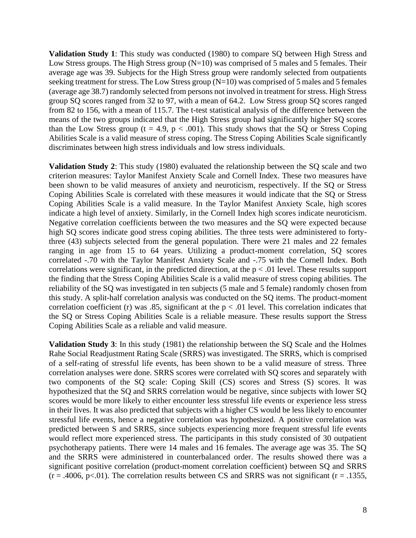**Validation Study 1**: This study was conducted (1980) to compare SQ between High Stress and Low Stress groups. The High Stress group  $(N=10)$  was comprised of 5 males and 5 females. Their average age was 39. Subjects for the High Stress group were randomly selected from outpatients seeking treatment for stress. The Low Stress group (N=10) was comprised of 5 males and 5 females (average age 38.7) randomly selected from persons not involved in treatment for stress. High Stress group SQ scores ranged from 32 to 97, with a mean of 64.2. Low Stress group SQ scores ranged from 82 to 156, with a mean of 115.7. The t-test statistical analysis of the difference between the means of the two groups indicated that the High Stress group had significantly higher SQ scores than the Low Stress group (t = 4.9,  $p < .001$ ). This study shows that the SQ or Stress Coping Abilities Scale is a valid measure of stress coping. The Stress Coping Abilities Scale significantly discriminates between high stress individuals and low stress individuals.

**Validation Study 2**: This study (1980) evaluated the relationship between the SQ scale and two criterion measures: Taylor Manifest Anxiety Scale and Cornell Index. These two measures have been shown to be valid measures of anxiety and neuroticism, respectively. If the SQ or Stress Coping Abilities Scale is correlated with these measures it would indicate that the SQ or Stress Coping Abilities Scale is a valid measure. In the Taylor Manifest Anxiety Scale, high scores indicate a high level of anxiety. Similarly, in the Cornell Index high scores indicate neuroticism. Negative correlation coefficients between the two measures and the SQ were expected because high SQ scores indicate good stress coping abilities. The three tests were administered to fortythree (43) subjects selected from the general population. There were 21 males and 22 females ranging in age from 15 to 64 years. Utilizing a product-moment correlation, SQ scores correlated -.70 with the Taylor Manifest Anxiety Scale and -.75 with the Cornell Index. Both correlations were significant, in the predicted direction, at the  $p < .01$  level. These results support the finding that the Stress Coping Abilities Scale is a valid measure of stress coping abilities. The reliability of the SQ was investigated in ten subjects (5 male and 5 female) randomly chosen from this study. A split-half correlation analysis was conducted on the SQ items. The product-moment correlation coefficient (r) was .85, significant at the  $p < .01$  level. This correlation indicates that the SQ or Stress Coping Abilities Scale is a reliable measure. These results support the Stress Coping Abilities Scale as a reliable and valid measure.

**Validation Study 3**: In this study (1981) the relationship between the SQ Scale and the Holmes Rahe Social Readjustment Rating Scale (SRRS) was investigated. The SRRS, which is comprised of a self-rating of stressful life events, has been shown to be a valid measure of stress. Three correlation analyses were done. SRRS scores were correlated with SQ scores and separately with two components of the SQ scale: Coping Skill (CS) scores and Stress (S) scores. It was hypothesized that the SQ and SRRS correlation would be negative, since subjects with lower SQ scores would be more likely to either encounter less stressful life events or experience less stress in their lives. It was also predicted that subjects with a higher CS would be less likely to encounter stressful life events, hence a negative correlation was hypothesized. A positive correlation was predicted between S and SRRS, since subjects experiencing more frequent stressful life events would reflect more experienced stress. The participants in this study consisted of 30 outpatient psychotherapy patients. There were 14 males and 16 females. The average age was 35. The SQ and the SRRS were administered in counterbalanced order. The results showed there was a significant positive correlation (product-moment correlation coefficient) between SQ and SRRS  $(r = .4006, p < .01)$ . The correlation results between CS and SRRS was not significant ( $r = .1355$ ,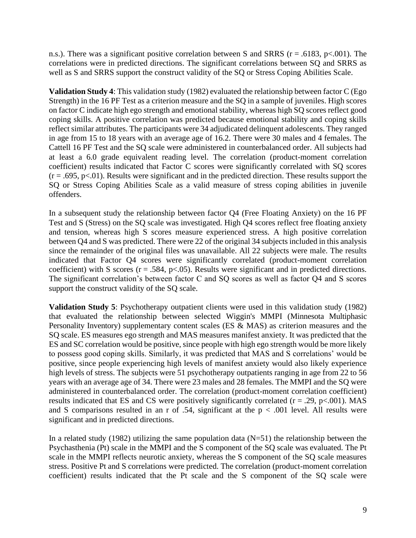n.s.). There was a significant positive correlation between S and SRRS ( $r = .6183$ ,  $p < .001$ ). The correlations were in predicted directions. The significant correlations between SQ and SRRS as well as S and SRRS support the construct validity of the SQ or Stress Coping Abilities Scale.

**Validation Study 4**: This validation study (1982) evaluated the relationship between factor C (Ego Strength) in the 16 PF Test as a criterion measure and the SQ in a sample of juveniles. High scores on factor C indicate high ego strength and emotional stability, whereas high SQ scores reflect good coping skills. A positive correlation was predicted because emotional stability and coping skills reflect similar attributes. The participants were 34 adjudicated delinquent adolescents. They ranged in age from 15 to 18 years with an average age of 16.2. There were 30 males and 4 females. The Cattell 16 PF Test and the SQ scale were administered in counterbalanced order. All subjects had at least a 6.0 grade equivalent reading level. The correlation (product-moment correlation coefficient) results indicated that Factor C scores were significantly correlated with SQ scores  $(r = .695, p < .01)$ . Results were significant and in the predicted direction. These results support the SQ or Stress Coping Abilities Scale as a valid measure of stress coping abilities in juvenile offenders.

In a subsequent study the relationship between factor Q4 (Free Floating Anxiety) on the 16 PF Test and S (Stress) on the SQ scale was investigated. High Q4 scores reflect free floating anxiety and tension, whereas high S scores measure experienced stress. A high positive correlation between Q4 and S was predicted. There were 22 of the original 34 subjects included in this analysis since the remainder of the original files was unavailable. All 22 subjects were male. The results indicated that Factor Q4 scores were significantly correlated (product-moment correlation coefficient) with S scores ( $r = .584$ ,  $p < .05$ ). Results were significant and in predicted directions. The significant correlation's between factor C and SQ scores as well as factor Q4 and S scores support the construct validity of the SQ scale.

**Validation Study 5**: Psychotherapy outpatient clients were used in this validation study (1982) that evaluated the relationship between selected Wiggin's MMPI (Minnesota Multiphasic Personality Inventory) supplementary content scales (ES & MAS) as criterion measures and the SQ scale. ES measures ego strength and MAS measures manifest anxiety. It was predicted that the ES and SC correlation would be positive, since people with high ego strength would be more likely to possess good coping skills. Similarly, it was predicted that MAS and S correlations' would be positive, since people experiencing high levels of manifest anxiety would also likely experience high levels of stress. The subjects were 51 psychotherapy outpatients ranging in age from 22 to 56 years with an average age of 34. There were 23 males and 28 females. The MMPI and the SQ were administered in counterbalanced order. The correlation (product-moment correlation coefficient) results indicated that ES and CS were positively significantly correlated ( $r = .29$ ,  $p < .001$ ). MAS and S comparisons resulted in an r of .54, significant at the  $p < .001$  level. All results were significant and in predicted directions.

In a related study (1982) utilizing the same population data  $(N=51)$  the relationship between the Psychasthenia (Pt) scale in the MMPI and the S component of the SQ scale was evaluated. The Pt scale in the MMPI reflects neurotic anxiety, whereas the S component of the SQ scale measures stress. Positive Pt and S correlations were predicted. The correlation (product-moment correlation coefficient) results indicated that the Pt scale and the S component of the SQ scale were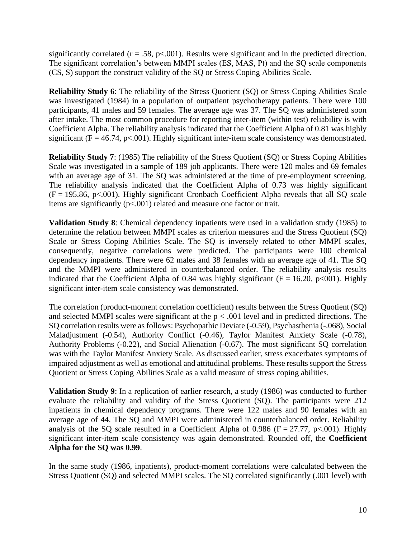significantly correlated ( $r = .58$ ,  $p < .001$ ). Results were significant and in the predicted direction. The significant correlation's between MMPI scales (ES, MAS, Pt) and the SQ scale components (CS, S) support the construct validity of the SQ or Stress Coping Abilities Scale.

**Reliability Study 6**: The reliability of the Stress Quotient (SQ) or Stress Coping Abilities Scale was investigated (1984) in a population of outpatient psychotherapy patients. There were 100 participants, 41 males and 59 females. The average age was 37. The SQ was administered soon after intake. The most common procedure for reporting inter-item (within test) reliability is with Coefficient Alpha. The reliability analysis indicated that the Coefficient Alpha of 0.81 was highly significant ( $F = 46.74$ ,  $p < .001$ ). Highly significant inter-item scale consistency was demonstrated.

**Reliability Study 7**: (1985) The reliability of the Stress Quotient (SQ) or Stress Coping Abilities Scale was investigated in a sample of 189 job applicants. There were 120 males and 69 females with an average age of 31. The SQ was administered at the time of pre-employment screening. The reliability analysis indicated that the Coefficient Alpha of 0.73 was highly significant  $(F = 195.86, p \lt 0.001)$ . Highly significant Cronbach Coefficient Alpha reveals that all SQ scale items are significantly (p<.001) related and measure one factor or trait.

**Validation Study 8**: Chemical dependency inpatients were used in a validation study (1985) to determine the relation between MMPI scales as criterion measures and the Stress Quotient (SQ) Scale or Stress Coping Abilities Scale. The SQ is inversely related to other MMPI scales, consequently, negative correlations were predicted. The participants were 100 chemical dependency inpatients. There were 62 males and 38 females with an average age of 41. The SQ and the MMPI were administered in counterbalanced order. The reliability analysis results indicated that the Coefficient Alpha of 0.84 was highly significant ( $F = 16.20$ ,  $p < 001$ ). Highly significant inter-item scale consistency was demonstrated.

The correlation (product-moment correlation coefficient) results between the Stress Quotient (SQ) and selected MMPI scales were significant at the  $p < .001$  level and in predicted directions. The SQ correlation results were as follows: Psychopathic Deviate (-0.59), Psychasthenia (-.068), Social Maladjustment (-0.54), Authority Conflict (-0.46), Taylor Manifest Anxiety Scale (-0.78), Authority Problems (-0.22), and Social Alienation (-0.67). The most significant SQ correlation was with the Taylor Manifest Anxiety Scale. As discussed earlier, stress exacerbates symptoms of impaired adjustment as well as emotional and attitudinal problems. These results support the Stress Quotient or Stress Coping Abilities Scale as a valid measure of stress coping abilities.

**Validation Study 9**: In a replication of earlier research, a study (1986) was conducted to further evaluate the reliability and validity of the Stress Quotient (SQ). The participants were 212 inpatients in chemical dependency programs. There were 122 males and 90 females with an average age of 44. The SQ and MMPI were administered in counterbalanced order. Reliability analysis of the SQ scale resulted in a Coefficient Alpha of 0.986 ( $F = 27.77$ ,  $p < .001$ ). Highly significant inter-item scale consistency was again demonstrated. Rounded off, the **Coefficient Alpha for the SQ was 0.99**.

In the same study (1986, inpatients), product-moment correlations were calculated between the Stress Quotient (SQ) and selected MMPI scales. The SQ correlated significantly (.001 level) with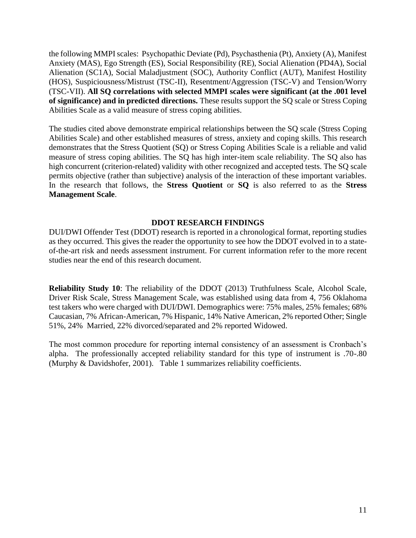the following MMPI scales: Psychopathic Deviate (Pd), Psychasthenia (Pt), Anxiety (A), Manifest Anxiety (MAS), Ego Strength (ES), Social Responsibility (RE), Social Alienation (PD4A), Social Alienation (SC1A), Social Maladjustment (SOC), Authority Conflict (AUT), Manifest Hostility (HOS), Suspiciousness/Mistrust (TSC-II), Resentment/Aggression (TSC-V) and Tension/Worry (TSC-VII). **All SQ correlations with selected MMPI scales were significant (at the .001 level of significance) and in predicted directions.** These results support the SQ scale or Stress Coping Abilities Scale as a valid measure of stress coping abilities.

The studies cited above demonstrate empirical relationships between the SQ scale (Stress Coping Abilities Scale) and other established measures of stress, anxiety and coping skills. This research demonstrates that the Stress Quotient (SQ) or Stress Coping Abilities Scale is a reliable and valid measure of stress coping abilities. The SQ has high inter-item scale reliability. The SQ also has high concurrent (criterion-related) validity with other recognized and accepted tests. The SQ scale permits objective (rather than subjective) analysis of the interaction of these important variables. In the research that follows, the **Stress Quotient** or **SQ** is also referred to as the **Stress Management Scale**.

#### **DDOT RESEARCH FINDINGS**

DUI/DWI Offender Test (DDOT) research is reported in a chronological format, reporting studies as they occurred. This gives the reader the opportunity to see how the DDOT evolved in to a stateof-the-art risk and needs assessment instrument. For current information refer to the more recent studies near the end of this research document.

**Reliability Study 10**: The reliability of the DDOT (2013) Truthfulness Scale, Alcohol Scale, Driver Risk Scale, Stress Management Scale, was established using data from 4, 756 Oklahoma test takers who were charged with DUI/DWI. Demographics were: 75% males, 25% females; 68% Caucasian, 7% African-American, 7% Hispanic, 14% Native American, 2% reported Other; Single 51%, 24% Married, 22% divorced/separated and 2% reported Widowed.

The most common procedure for reporting internal consistency of an assessment is Cronbach's alpha. The professionally accepted reliability standard for this type of instrument is .70-.80 (Murphy & Davidshofer, 2001). Table 1 summarizes reliability coefficients.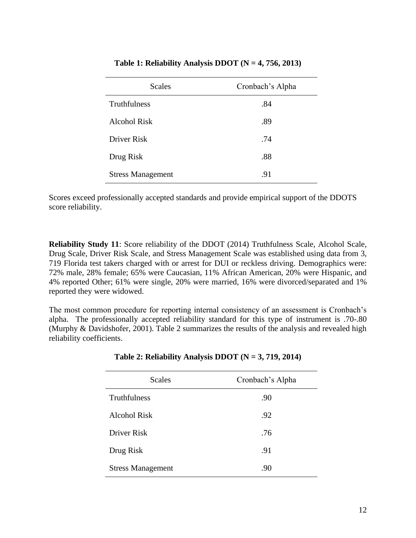| <b>Scales</b>            | Cronbach's Alpha |  |  |
|--------------------------|------------------|--|--|
| Truthfulness             | .84              |  |  |
| Alcohol Risk             | .89              |  |  |
| Driver Risk              | .74              |  |  |
| Drug Risk                | .88              |  |  |
| <b>Stress Management</b> | .91              |  |  |

### **Table 1: Reliability Analysis DDOT (N = 4, 756, 2013)**

Scores exceed professionally accepted standards and provide empirical support of the DDOTS score reliability.

**Reliability Study 11**: Score reliability of the DDOT (2014) Truthfulness Scale, Alcohol Scale, Drug Scale, Driver Risk Scale, and Stress Management Scale was established using data from 3, 719 Florida test takers charged with or arrest for DUI or reckless driving. Demographics were: 72% male, 28% female; 65% were Caucasian, 11% African American, 20% were Hispanic, and 4% reported Other; 61% were single, 20% were married, 16% were divorced/separated and 1% reported they were widowed.

The most common procedure for reporting internal consistency of an assessment is Cronbach's alpha. The professionally accepted reliability standard for this type of instrument is .70-.80 (Murphy & Davidshofer, 2001). Table 2 summarizes the results of the analysis and revealed high reliability coefficients.

| <b>Scales</b>            | Cronbach's Alpha |  |  |
|--------------------------|------------------|--|--|
| Truthfulness             | .90              |  |  |
| Alcohol Risk             | .92              |  |  |
| Driver Risk              | .76              |  |  |
| Drug Risk                | .91              |  |  |
| <b>Stress Management</b> | .90              |  |  |

| Table 2: Reliability Analysis DDOT ( $N = 3, 719, 2014$ ) |  |  |
|-----------------------------------------------------------|--|--|
|                                                           |  |  |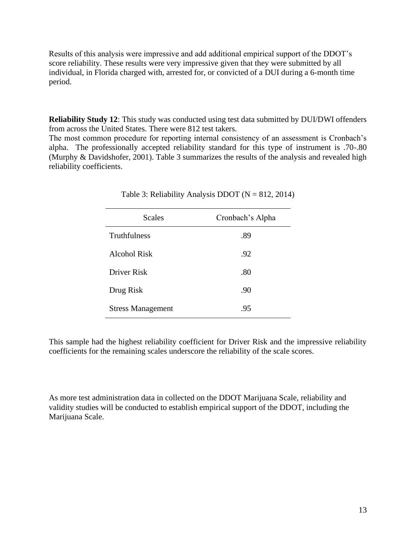Results of this analysis were impressive and add additional empirical support of the DDOT's score reliability. These results were very impressive given that they were submitted by all individual, in Florida charged with, arrested for, or convicted of a DUI during a 6-month time period.

**Reliability Study 12**: This study was conducted using test data submitted by DUI/DWI offenders from across the United States. There were 812 test takers.

The most common procedure for reporting internal consistency of an assessment is Cronbach's alpha. The professionally accepted reliability standard for this type of instrument is .70-.80 (Murphy & Davidshofer, 2001). Table 3 summarizes the results of the analysis and revealed high reliability coefficients.

| <b>Scales</b>            | Cronbach's Alpha |
|--------------------------|------------------|
| <b>Truthfulness</b>      | .89              |
| Alcohol Risk             | .92              |
| Driver Risk              | .80              |
| Drug Risk                | .90              |
| <b>Stress Management</b> | .95              |

| Table 3: Reliability Analysis DDOT ( $N = 812, 2014$ ) |  |  |
|--------------------------------------------------------|--|--|
|--------------------------------------------------------|--|--|

This sample had the highest reliability coefficient for Driver Risk and the impressive reliability coefficients for the remaining scales underscore the reliability of the scale scores.

As more test administration data in collected on the DDOT Marijuana Scale, reliability and validity studies will be conducted to establish empirical support of the DDOT, including the Marijuana Scale.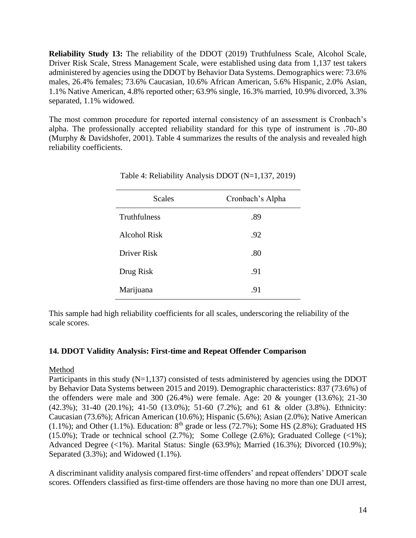**Reliability Study 13:** The reliability of the DDOT (2019) Truthfulness Scale, Alcohol Scale, Driver Risk Scale, Stress Management Scale, were established using data from 1,137 test takers administered by agencies using the DDOT by Behavior Data Systems. Demographics were: 73.6% males, 26.4% females; 73.6% Caucasian, 10.6% African American, 5.6% Hispanic, 2.0% Asian, 1.1% Native American, 4.8% reported other; 63.9% single, 16.3% married, 10.9% divorced, 3.3% separated, 1.1% widowed.

The most common procedure for reported internal consistency of an assessment is Cronbach's alpha. The professionally accepted reliability standard for this type of instrument is .70-.80 (Murphy & Davidshofer, 2001). Table 4 summarizes the results of the analysis and revealed high reliability coefficients.

| <b>Scales</b>       | Cronbach's Alpha |
|---------------------|------------------|
| Truthfulness        | .89              |
| <b>Alcohol Risk</b> | .92              |
| Driver Risk         | .80              |
| Drug Risk           | .91              |
| Marijuana           | .91              |

Table 4: Reliability Analysis DDOT (N=1,137, 2019)

This sample had high reliability coefficients for all scales, underscoring the reliability of the scale scores.

# **14. DDOT Validity Analysis: First-time and Repeat Offender Comparison**

# Method

Participants in this study  $(N=1,137)$  consisted of tests administered by agencies using the DDOT by Behavior Data Systems between 2015 and 2019). Demographic characteristics: 837 (73.6%) of the offenders were male and 300 (26.4%) were female. Age: 20  $\&$  younger (13.6%); 21-30 (42.3%); 31-40 (20.1%); 41-50 (13.0%); 51-60 (7.2%); and 61 & older (3.8%). Ethnicity: Caucasian (73.6%); African American (10.6%); Hispanic (5.6%); Asian (2.0%); Native American (1.1%); and Other (1.1%). Education:  $8<sup>th</sup>$  grade or less (72.7%); Some HS (2.8%); Graduated HS (15.0%); Trade or technical school (2.7%); Some College (2.6%); Graduated College (<1%); Advanced Degree (<1%). Marital Status: Single (63.9%); Married (16.3%); Divorced (10.9%); Separated (3.3%); and Widowed (1.1%).

A discriminant validity analysis compared first-time offenders' and repeat offenders' DDOT scale scores. Offenders classified as first-time offenders are those having no more than one DUI arrest,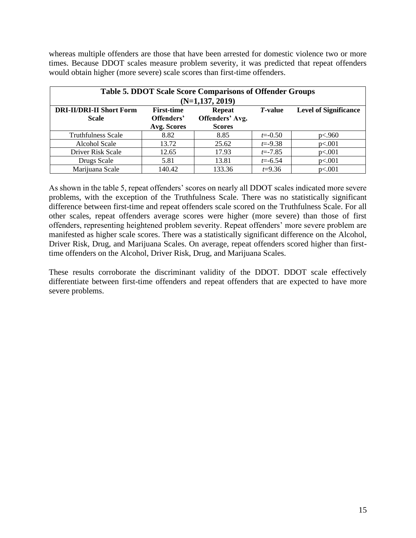whereas multiple offenders are those that have been arrested for domestic violence two or more times. Because DDOT scales measure problem severity, it was predicted that repeat offenders would obtain higher (more severe) scale scores than first-time offenders.

| <b>Table 5. DDOT Scale Score Comparisons of Offender Groups</b><br>$(N=1,137, 2019)$ |                                                |                                                   |                 |                              |
|--------------------------------------------------------------------------------------|------------------------------------------------|---------------------------------------------------|-----------------|------------------------------|
| <b>DRI-II/DRI-II Short Form</b><br><b>Scale</b>                                      | <b>First-time</b><br>Offenders'<br>Avg. Scores | <b>Repeat</b><br>Offenders' Avg.<br><b>Scores</b> | <i>T</i> -value | <b>Level of Significance</b> |
| <b>Truthfulness Scale</b>                                                            | 8.82                                           | 8.85                                              | $t = -0.50$     | p<.960                       |
| <b>Alcohol Scale</b>                                                                 | 13.72                                          | 25.62                                             | $t = -9.38$     | p<.001                       |
| Driver Risk Scale                                                                    | 12.65                                          | 17.93                                             | $t = -7.85$     | p<.001                       |
| Drugs Scale                                                                          | 5.81                                           | 13.81                                             | $t = -6.54$     | p<.001                       |
| Marijuana Scale                                                                      | 140.42                                         | 133.36                                            | $t=9.36$        | p<.001                       |

As shown in the table 5, repeat offenders' scores on nearly all DDOT scales indicated more severe problems, with the exception of the Truthfulness Scale. There was no statistically significant difference between first-time and repeat offenders scale scored on the Truthfulness Scale. For all other scales, repeat offenders average scores were higher (more severe) than those of first offenders, representing heightened problem severity. Repeat offenders' more severe problem are manifested as higher scale scores. There was a statistically significant difference on the Alcohol, Driver Risk, Drug, and Marijuana Scales. On average, repeat offenders scored higher than firsttime offenders on the Alcohol, Driver Risk, Drug, and Marijuana Scales.

These results corroborate the discriminant validity of the DDOT. DDOT scale effectively differentiate between first-time offenders and repeat offenders that are expected to have more severe problems.